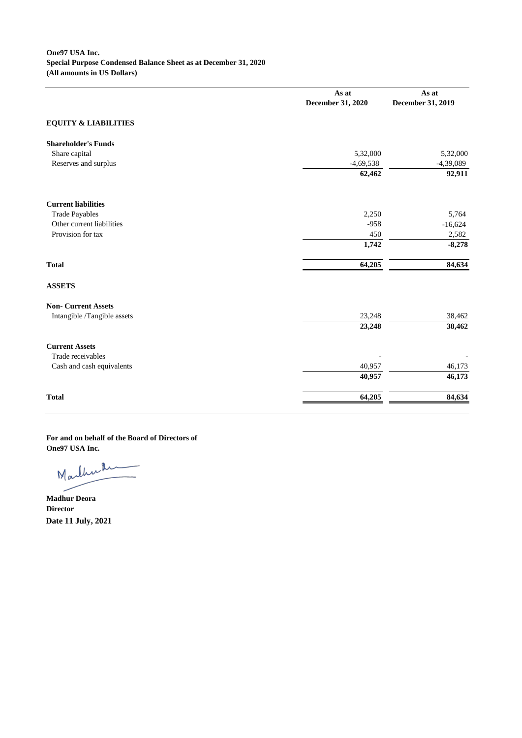## **One97 USA Inc. Special Purpose Condensed Balance Sheet as at December 31, 2020 (All amounts in US Dollars)**

|                                 | As at                    | As at                    |
|---------------------------------|--------------------------|--------------------------|
|                                 | <b>December 31, 2020</b> | <b>December 31, 2019</b> |
| <b>EQUITY &amp; LIABILITIES</b> |                          |                          |
| <b>Shareholder's Funds</b>      |                          |                          |
| Share capital                   | 5,32,000                 | 5,32,000                 |
| Reserves and surplus            | $-4,69,538$              | $-4,39,089$              |
|                                 | 62,462                   | 92,911                   |
| <b>Current liabilities</b>      |                          |                          |
| <b>Trade Payables</b>           | 2,250                    | 5,764                    |
| Other current liabilities       | $-958$                   | $-16,624$                |
| Provision for tax               | 450                      | 2,582                    |
|                                 | 1,742                    | $-8,278$                 |
| <b>Total</b>                    | 64,205                   | 84,634                   |
| <b>ASSETS</b>                   |                          |                          |
| <b>Non- Current Assets</b>      |                          |                          |
| Intangible /Tangible assets     | 23,248                   | 38,462                   |
|                                 | 23,248                   | 38,462                   |
| <b>Current Assets</b>           |                          |                          |
| Trade receivables               |                          |                          |
| Cash and cash equivalents       | 40,957                   | 46,173                   |
|                                 | 40,957                   | 46,173                   |
| <b>Total</b>                    | 64,205                   | 84,634                   |

**For and on behalf of the Board of Directors of One97 USA Inc.**

Marthulin

**Madhur Deora Director Date 11 July, 2021**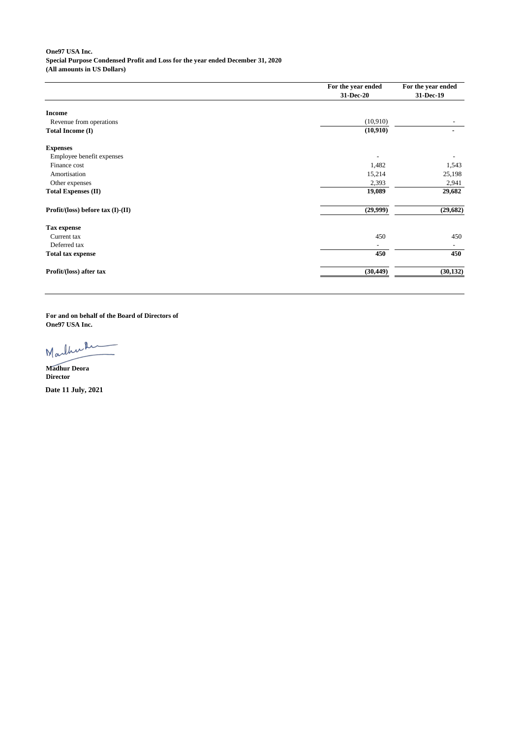**One97 USA Inc. Special Purpose Condensed Profit and Loss for the year ended December 31, 2020 (All amounts in US Dollars)**

|                                   | For the year ended | For the year ended |
|-----------------------------------|--------------------|--------------------|
|                                   | 31-Dec-20          | 31-Dec-19          |
| <b>Income</b>                     |                    |                    |
| Revenue from operations           | (10,910)           |                    |
| <b>Total Income (I)</b>           | (10, 910)          |                    |
| <b>Expenses</b>                   |                    |                    |
| Employee benefit expenses         |                    |                    |
| Finance cost                      | 1,482              | 1,543              |
| Amortisation                      | 15,214             | 25,198             |
| Other expenses                    | 2,393              | 2,941              |
| <b>Total Expenses (II)</b>        | 19,089             | 29,682             |
| Profit/(loss) before tax (I)-(II) | (29,999)           | (29, 682)          |
| <b>Tax expense</b>                |                    |                    |
| Current tax                       | 450                | 450                |
| Deferred tax                      |                    |                    |
| <b>Total tax expense</b>          | 450                | 450                |
| Profit/(loss) after tax           | (30, 449)          | (30, 132)          |
|                                   |                    |                    |

**For and on behalf of the Board of Directors of One97 USA Inc.**

Marthul

**Madhur Deora Director**

**Date 11 July, 2021**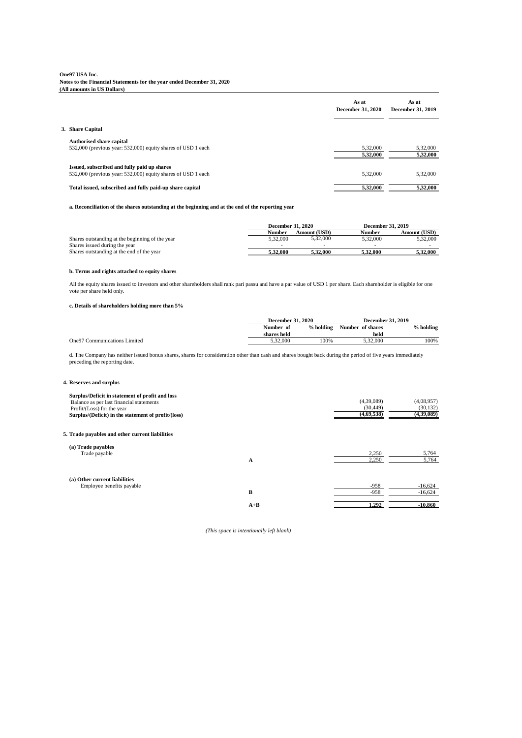## **One97 USA Inc. Notes to the Financial Statements for the year ended December 31, 2020 (All amounts in US Dollars)**

|                                                                                                             | As at<br><b>December 31, 2020</b> | As at<br><b>December 31, 2019</b> |
|-------------------------------------------------------------------------------------------------------------|-----------------------------------|-----------------------------------|
| 3. Share Capital                                                                                            |                                   |                                   |
| <b>Authorised share capital</b><br>532,000 (previous year: 532,000) equity shares of USD 1 each             | 5,32,000<br>5,32,000              | 5,32,000<br>5,32,000              |
| Issued, subscribed and fully paid up shares<br>532,000 (previous year: 532,000) equity shares of USD 1 each | 5,32,000                          | 5,32,000                          |
| Total issued, subscribed and fully paid-up share capital                                                    | 5,32,000                          | 5,32,000                          |

#### **a. Reconciliation of the shares outstanding at the beginning and at the end of the reporting year**

#### **b. Terms and rights attached to equity shares**

## **c. Details of shareholders holding more than 5%**

#### **4. Reserves and surplus**

|                                                 | <b>December 31, 2020</b> |                     | <b>December 31, 2019</b> |                 |
|-------------------------------------------------|--------------------------|---------------------|--------------------------|-----------------|
|                                                 | Number                   | <b>Amount (USD)</b> | <b>Number</b>            | Amount (USD)    |
| Shares outstanding at the beginning of the year | 5,32,000                 | 5,32,000            | 5,32,000                 | 5,32,000        |
| Shares issued during the year                   |                          |                     |                          |                 |
| Shares outstanding at the end of the year       | <b>5.32.000</b>          | 5.32.000            | <u>5.32.000 </u>         | <b>5.32.000</b> |

| Surplus/Deficit in statement of profit and loss     |             |            |
|-----------------------------------------------------|-------------|------------|
| Balance as per last financial statements            | (4,39,089)  | (4,08,957) |
| Profit/ $(Loss)$ for the year                       | (30, 449)   | (30, 132)  |
| Surplus/(Deficit) in the statement of profit/(loss) | (4.69, 538) | (4,39,089) |

#### **5. Trade payables and other current liabilities**

| (a) Trade payables                    |                |       |
|---------------------------------------|----------------|-------|
| Trade payable<br>$\sim$ $\sim$ $\sim$ | າ ລະບ<br>2.250 | 5,764 |

|                               | A     | 2,250  | 5,764     |
|-------------------------------|-------|--------|-----------|
| (a) Other current liabilities |       |        |           |
| Employee benefits payable     |       | $-958$ | $-16,624$ |
|                               | В     | $-958$ | $-16,624$ |
|                               | $A+B$ | 1,292  | $-10,860$ |

|                                      | <b>December 31, 2020</b> |             |                  | <b>December 31, 2019</b> |
|--------------------------------------|--------------------------|-------------|------------------|--------------------------|
|                                      | Number of                | $%$ holding | Number of shares | % holding                |
|                                      | shares held              |             | held             |                          |
| <b>One 97 Communications Limited</b> | 5,32,000                 | 100%        | 5,32,000         | 100%                     |

d. The Company has neither issued bonus shares, shares for consideration other than cash and shares bought back during the period of five years immediately preceding the reporting date.

*(This space is intentionally left blank)*

All the equity shares issued to investors and other shareholders shall rank pari passu and have a par value of USD 1 per share. Each shareholder is eligible for one vote per share held only.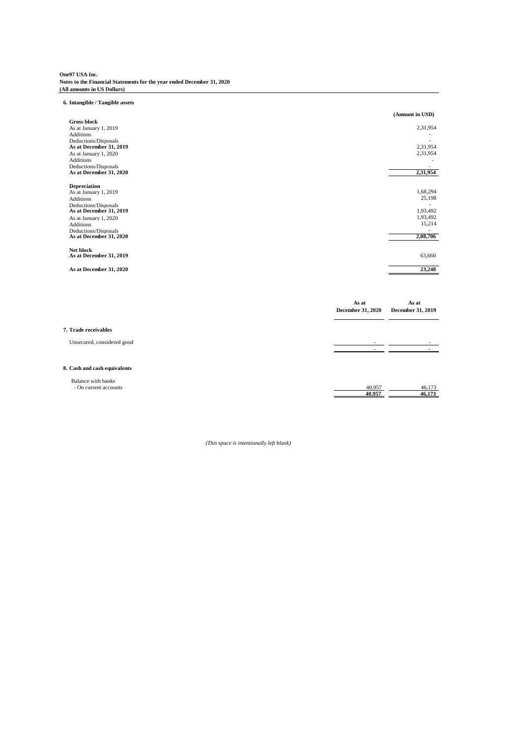# **One97 USA Inc. Notes to the Financial Statements for the year ended December 31, 2020 (All amounts in US Dollars)**

## **6. Intangible / Tangible assets**

|                                                 |                          | (Amount in USD)          |
|-------------------------------------------------|--------------------------|--------------------------|
| <b>Gross block</b><br>As at January 1, 2019     |                          | 2,31,954                 |
| Additions                                       |                          |                          |
| Deductions/Disposals                            |                          | $\blacksquare$           |
| As at December 31, 2019                         |                          | 2,31,954                 |
| As at January 1, 2020                           |                          | 2,31,954                 |
| Additions<br>Deductions/Disposals               |                          |                          |
| As at December 31, 2020                         |                          | 2,31,954                 |
| <b>Depreciation</b>                             |                          |                          |
| As at January 1, 2019                           |                          | 1,68,294                 |
| Additions                                       |                          | 25,198                   |
| Deductions/Disposals<br>As at December 31, 2019 |                          | 1,93,492                 |
| As at January 1, 2020                           |                          | 1,93,492                 |
| Additions                                       |                          | 15,214                   |
| Deductions/Disposals<br>As at December 31, 2020 |                          | 2,08,706                 |
| Net block                                       |                          |                          |
| As at December 31, 2019                         |                          | 63,660                   |
| As at December 31, 2020                         |                          | 23,248                   |
|                                                 |                          |                          |
|                                                 | As at                    | As at                    |
|                                                 | <b>December 31, 2020</b> | <b>December 31, 2019</b> |
| 7. Trade receivables                            |                          |                          |
| Unsecured, considered good                      |                          |                          |

 **- -**

## **8. Cash and cash equivalents**

| <b>Balance with banks</b>                                          |                   |                                          |
|--------------------------------------------------------------------|-------------------|------------------------------------------|
| CUTEP <sub>0</sub><br>accounts<br>- Jn<br>$\overline{\phantom{0}}$ | 05'<br>- 40.      | $\sim$ $ \sim$<br>4 <sup>6</sup><br>-⊤∪⊷ |
|                                                                    | $AA$ $AFA$<br>TV. | 46<br><b>TV.</b>                         |